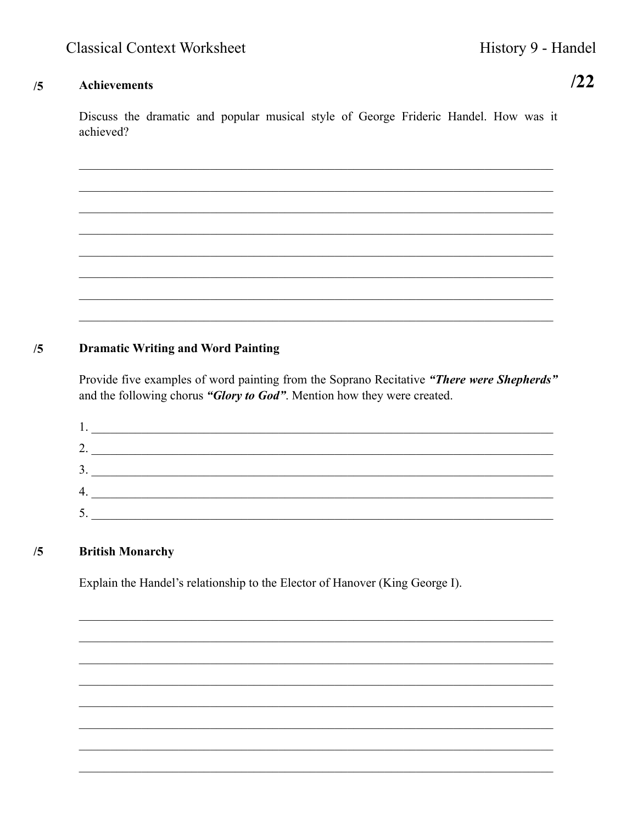### **Achievements**  $/5$

 $122$ 

Discuss the dramatic and popular musical style of George Frideric Handel. How was it achieved?

### **Dramatic Writing and Word Painting**  $/5$

Provide five examples of word painting from the Soprano Recitative "There were Shepherds" and the following chorus "Glory to God". Mention how they were created.

| ., |  |
|----|--|
| 2. |  |
| 3. |  |
| 4. |  |
| 5. |  |

## **British Monarchy**  $/5$

Explain the Handel's relationship to the Elector of Hanover (King George I).